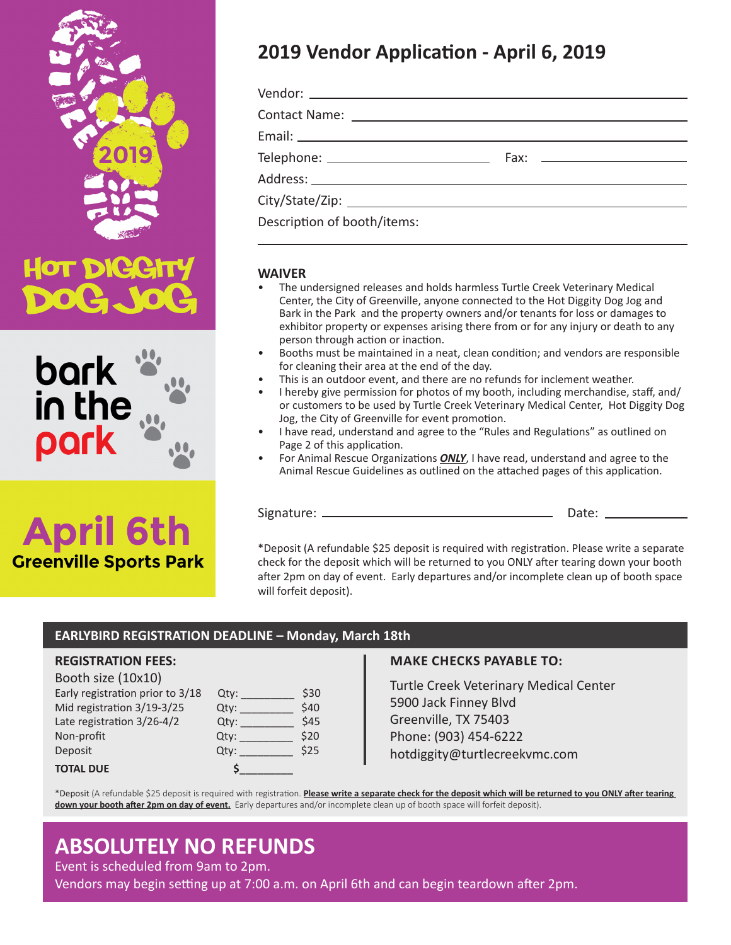



# **April 6th Greenville Sports Park**

## **2019 Vendor Application - April 6, 2019**

| Description of booth/items: |  |
|-----------------------------|--|

#### **WAIVER**

- The undersigned releases and holds harmless Turtle Creek Veterinary Medical Center, the City of Greenville, anyone connected to the Hot Diggity Dog Jog and Bark in the Park and the property owners and/or tenants for loss or damages to exhibitor property or expenses arising there from or for any injury or death to any person through action or inaction.
- Booths must be maintained in a neat, clean condition; and vendors are responsible for cleaning their area at the end of the day.
- This is an outdoor event, and there are no refunds for inclement weather.
- I hereby give permission for photos of my booth, including merchandise, staff, and/ or customers to be used by Turtle Creek Veterinary Medical Center, Hot Diggity Dog Jog, the City of Greenville for event promotion.
- I have read, understand and agree to the "Rules and Regulations" as outlined on Page 2 of this application.
- For Animal Rescue Organizations *ONLY*, I have read, understand and agree to the Animal Rescue Guidelines as outlined on the attached pages of this application.

Signature: Date:

\*Deposit (A refundable \$25 deposit is required with registration. Please write a separate check for the deposit which will be returned to you ONLY after tearing down your booth after 2pm on day of event. Early departures and/or incomplete clean up of booth space will forfeit deposit).

### **EARLYBIRD REGISTRATION DEADLINE – Monday, March 18th**

#### **REGISTRATION FEES:**

Booth size (10x10) Early registration prior to  $3/18$ Mid registration  $3/19-3/25$ Late registration  $3/26-4/2$ Non-profit Deposit

**TOTAL DUE \$\_\_\_\_\_\_\_\_\_**

| Qty: | \$30 |
|------|------|
| Qty: | \$40 |
| Qty: | \$45 |
| Qty: | \$20 |
| Qty: | \$25 |
| \$   |      |

#### **MAKE CHECKS PAYABLE TO:**

Turtle Creek Veterinary Medical Center 5900 Jack Finney Blvd Greenville, TX 75403 Phone: (903) 454-6222 hotdiggity@turtlecreekvmc.com

\*Deposit (A refundable \$25 deposit is required with registration. **Please write a separate check for the deposit which will be returned to you ONLY after tearing down your booth after 2pm on day of event.** Early departures and/or incomplete clean up of booth space will forfeit deposit).

### **ABSOLUTELY NO REFUNDS**

Event is scheduled from 9am to 2pm.

Vendors may begin setting up at 7:00 a.m. on April 6th and can begin teardown after 2pm.